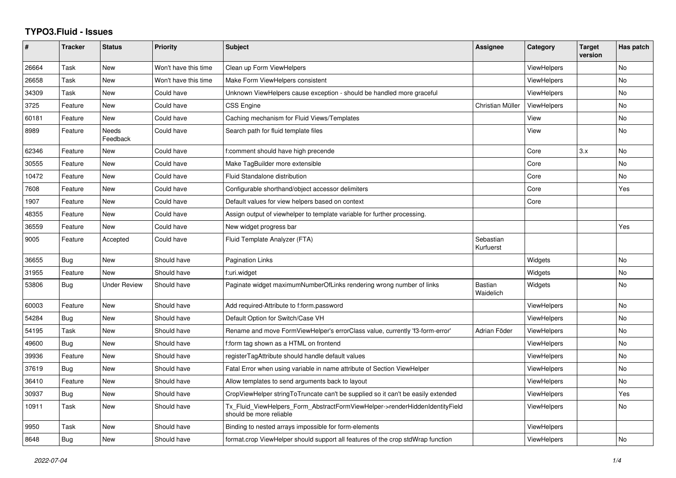## **TYPO3.Fluid - Issues**

| $\pmb{\#}$ | <b>Tracker</b> | <b>Status</b>       | <b>Priority</b>      | <b>Subject</b>                                                                                         | Assignee                    | Category           | <b>Target</b><br>version | Has patch      |
|------------|----------------|---------------------|----------------------|--------------------------------------------------------------------------------------------------------|-----------------------------|--------------------|--------------------------|----------------|
| 26664      | Task           | New                 | Won't have this time | Clean up Form ViewHelpers                                                                              |                             | <b>ViewHelpers</b> |                          | No             |
| 26658      | Task           | <b>New</b>          | Won't have this time | Make Form ViewHelpers consistent                                                                       |                             | ViewHelpers        |                          | <b>No</b>      |
| 34309      | Task           | New                 | Could have           | Unknown ViewHelpers cause exception - should be handled more graceful                                  |                             | <b>ViewHelpers</b> |                          | No             |
| 3725       | Feature        | New                 | Could have           | <b>CSS Engine</b>                                                                                      | Christian Müller            | <b>ViewHelpers</b> |                          | No             |
| 60181      | Feature        | New                 | Could have           | Caching mechanism for Fluid Views/Templates                                                            |                             | View               |                          | No             |
| 8989       | Feature        | Needs<br>Feedback   | Could have           | Search path for fluid template files                                                                   |                             | View               |                          | <b>No</b>      |
| 62346      | Feature        | New                 | Could have           | f:comment should have high precende                                                                    |                             | Core               | 3.x                      | No             |
| 30555      | Feature        | <b>New</b>          | Could have           | Make TagBuilder more extensible                                                                        |                             | Core               |                          | <b>No</b>      |
| 10472      | Feature        | New                 | Could have           | Fluid Standalone distribution                                                                          |                             | Core               |                          | <b>No</b>      |
| 7608       | Feature        | New                 | Could have           | Configurable shorthand/object accessor delimiters                                                      |                             | Core               |                          | Yes            |
| 1907       | Feature        | New                 | Could have           | Default values for view helpers based on context                                                       |                             | Core               |                          |                |
| 48355      | Feature        | <b>New</b>          | Could have           | Assign output of viewhelper to template variable for further processing.                               |                             |                    |                          |                |
| 36559      | Feature        | New                 | Could have           | New widget progress bar                                                                                |                             |                    |                          | Yes            |
| 9005       | Feature        | Accepted            | Could have           | Fluid Template Analyzer (FTA)                                                                          | Sebastian<br>Kurfuerst      |                    |                          |                |
| 36655      | Bug            | New                 | Should have          | <b>Pagination Links</b>                                                                                |                             | Widgets            |                          | <b>No</b>      |
| 31955      | Feature        | <b>New</b>          | Should have          | f:uri.widget                                                                                           |                             | Widgets            |                          | <b>No</b>      |
| 53806      | Bug            | <b>Under Review</b> | Should have          | Paginate widget maximumNumberOfLinks rendering wrong number of links                                   | <b>Bastian</b><br>Waidelich | Widgets            |                          | No             |
| 60003      | Feature        | <b>New</b>          | Should have          | Add required-Attribute to f:form.password                                                              |                             | <b>ViewHelpers</b> |                          | <b>No</b>      |
| 54284      | Bug            | New                 | Should have          | Default Option for Switch/Case VH                                                                      |                             | ViewHelpers        |                          | N <sub>o</sub> |
| 54195      | Task           | <b>New</b>          | Should have          | Rename and move FormViewHelper's errorClass value, currently 'f3-form-error'                           | Adrian Föder                | <b>ViewHelpers</b> |                          | No             |
| 49600      | <b>Bug</b>     | New                 | Should have          | f:form tag shown as a HTML on frontend                                                                 |                             | <b>ViewHelpers</b> |                          | No             |
| 39936      | Feature        | <b>New</b>          | Should have          | registerTagAttribute should handle default values                                                      |                             | <b>ViewHelpers</b> |                          | <b>No</b>      |
| 37619      | Bug            | <b>New</b>          | Should have          | Fatal Error when using variable in name attribute of Section ViewHelper                                |                             | <b>ViewHelpers</b> |                          | No             |
| 36410      | Feature        | New                 | Should have          | Allow templates to send arguments back to layout                                                       |                             | <b>ViewHelpers</b> |                          | <b>No</b>      |
| 30937      | Bug            | New                 | Should have          | CropViewHelper stringToTruncate can't be supplied so it can't be easily extended                       |                             | ViewHelpers        |                          | Yes            |
| 10911      | Task           | <b>New</b>          | Should have          | Tx_Fluid_ViewHelpers_Form_AbstractFormViewHelper->renderHiddenIdentityField<br>should be more reliable |                             | <b>ViewHelpers</b> |                          | No             |
| 9950       | Task           | <b>New</b>          | Should have          | Binding to nested arrays impossible for form-elements                                                  |                             | ViewHelpers        |                          |                |
| 8648       | Bug            | <b>New</b>          | Should have          | format.crop ViewHelper should support all features of the crop stdWrap function                        |                             | <b>ViewHelpers</b> |                          | <b>No</b>      |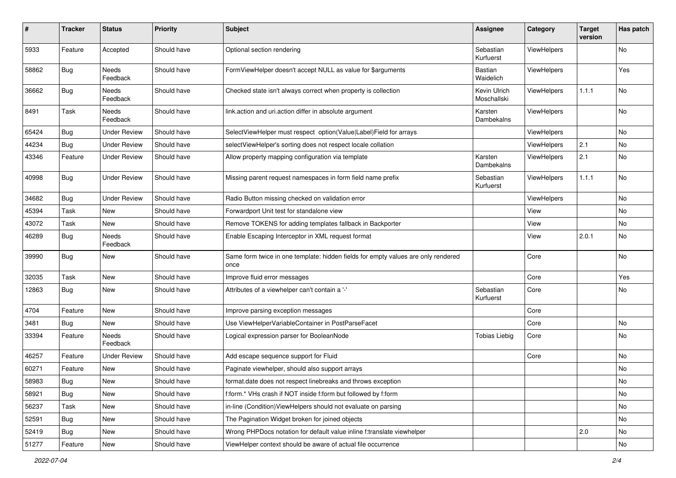| #     | <b>Tracker</b> | <b>Status</b>            | <b>Priority</b> | <b>Subject</b>                                                                            | <b>Assignee</b>             | Category           | <b>Target</b><br>version | Has patch |
|-------|----------------|--------------------------|-----------------|-------------------------------------------------------------------------------------------|-----------------------------|--------------------|--------------------------|-----------|
| 5933  | Feature        | Accepted                 | Should have     | Optional section rendering                                                                | Sebastian<br>Kurfuerst      | ViewHelpers        |                          | No        |
| 58862 | Bug            | Needs<br>Feedback        | Should have     | FormViewHelper doesn't accept NULL as value for \$arguments                               | Bastian<br>Waidelich        | <b>ViewHelpers</b> |                          | Yes       |
| 36662 | Bug            | Needs<br>Feedback        | Should have     | Checked state isn't always correct when property is collection                            | Kevin Ulrich<br>Moschallski | ViewHelpers        | 1.1.1                    | No        |
| 8491  | Task           | <b>Needs</b><br>Feedback | Should have     | link.action and uri.action differ in absolute argument                                    | Karsten<br>Dambekalns       | ViewHelpers        |                          | <b>No</b> |
| 65424 | Bug            | <b>Under Review</b>      | Should have     | SelectViewHelper must respect option(Value Label)Field for arrays                         |                             | ViewHelpers        |                          | No        |
| 44234 | Bug            | <b>Under Review</b>      | Should have     | selectViewHelper's sorting does not respect locale collation                              |                             | ViewHelpers        | 2.1                      | No        |
| 43346 | Feature        | <b>Under Review</b>      | Should have     | Allow property mapping configuration via template                                         | Karsten<br>Dambekalns       | ViewHelpers        | 2.1                      | No        |
| 40998 | Bug            | Under Review             | Should have     | Missing parent request namespaces in form field name prefix                               | Sebastian<br>Kurfuerst      | ViewHelpers        | 1.1.1                    | <b>No</b> |
| 34682 | Bug            | <b>Under Review</b>      | Should have     | Radio Button missing checked on validation error                                          |                             | ViewHelpers        |                          | No        |
| 45394 | Task           | New                      | Should have     | Forwardport Unit test for standalone view                                                 |                             | View               |                          | No        |
| 43072 | Task           | New                      | Should have     | Remove TOKENS for adding templates fallback in Backporter                                 |                             | View               |                          | No        |
| 46289 | Bug            | Needs<br>Feedback        | Should have     | Enable Escaping Interceptor in XML request format                                         |                             | View               | 2.0.1                    | No        |
| 39990 | <b>Bug</b>     | New                      | Should have     | Same form twice in one template: hidden fields for empty values are only rendered<br>once |                             | Core               |                          | No        |
| 32035 | Task           | New                      | Should have     | Improve fluid error messages                                                              |                             | Core               |                          | Yes       |
| 12863 | Bug            | New                      | Should have     | Attributes of a viewhelper can't contain a '-'                                            | Sebastian<br>Kurfuerst      | Core               |                          | No        |
| 4704  | Feature        | New                      | Should have     | Improve parsing exception messages                                                        |                             | Core               |                          |           |
| 3481  | Bug            | New                      | Should have     | Use ViewHelperVariableContainer in PostParseFacet                                         |                             | Core               |                          | No        |
| 33394 | Feature        | Needs<br>Feedback        | Should have     | Logical expression parser for BooleanNode                                                 | <b>Tobias Liebig</b>        | Core               |                          | No        |
| 46257 | Feature        | <b>Under Review</b>      | Should have     | Add escape sequence support for Fluid                                                     |                             | Core               |                          | No        |
| 60271 | Feature        | New                      | Should have     | Paginate viewhelper, should also support arrays                                           |                             |                    |                          | No        |
| 58983 | Bug            | New                      | Should have     | format.date does not respect linebreaks and throws exception                              |                             |                    |                          | No        |
| 58921 | Bug            | New                      | Should have     | f:form.* VHs crash if NOT inside f:form but followed by f:form                            |                             |                    |                          | No        |
| 56237 | Task           | New                      | Should have     | in-line (Condition) ViewHelpers should not evaluate on parsing                            |                             |                    |                          | No        |
| 52591 | <b>Bug</b>     | New                      | Should have     | The Pagination Widget broken for joined objects                                           |                             |                    |                          | No        |
| 52419 | Bug            | New                      | Should have     | Wrong PHPDocs notation for default value inline f:translate viewhelper                    |                             |                    | 2.0                      | No        |
| 51277 | Feature        | New                      | Should have     | ViewHelper context should be aware of actual file occurrence                              |                             |                    |                          | No        |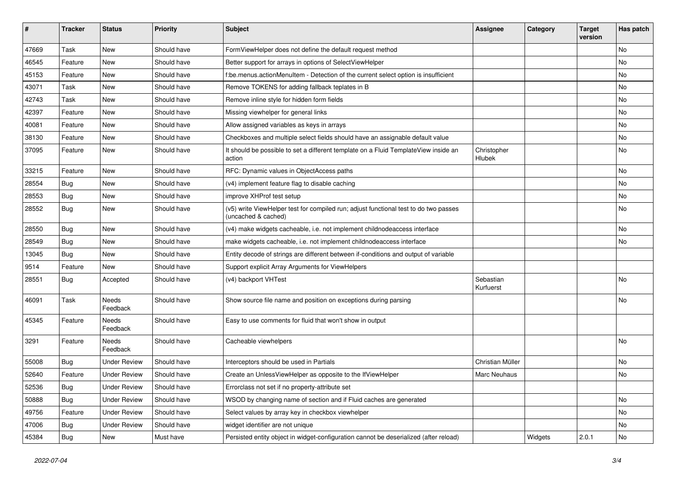| #     | <b>Tracker</b> | <b>Status</b>       | <b>Priority</b> | Subject                                                                                                     | <b>Assignee</b>        | Category | <b>Target</b><br>version | Has patch |
|-------|----------------|---------------------|-----------------|-------------------------------------------------------------------------------------------------------------|------------------------|----------|--------------------------|-----------|
| 47669 | Task           | New                 | Should have     | FormViewHelper does not define the default request method                                                   |                        |          |                          | <b>No</b> |
| 46545 | Feature        | New                 | Should have     | Better support for arrays in options of SelectViewHelper                                                    |                        |          |                          | No        |
| 45153 | Feature        | New                 | Should have     | f:be.menus.actionMenuItem - Detection of the current select option is insufficient                          |                        |          |                          | No        |
| 43071 | Task           | <b>New</b>          | Should have     | Remove TOKENS for adding fallback teplates in B                                                             |                        |          |                          | No        |
| 42743 | Task           | New                 | Should have     | Remove inline style for hidden form fields                                                                  |                        |          |                          | No        |
| 42397 | Feature        | New                 | Should have     | Missing viewhelper for general links                                                                        |                        |          |                          | No        |
| 40081 | Feature        | New                 | Should have     | Allow assigned variables as keys in arrays                                                                  |                        |          |                          | No        |
| 38130 | Feature        | New                 | Should have     | Checkboxes and multiple select fields should have an assignable default value                               |                        |          |                          | No        |
| 37095 | Feature        | New                 | Should have     | It should be possible to set a different template on a Fluid TemplateView inside an<br>action               | Christopher<br>Hlubek  |          |                          | No        |
| 33215 | Feature        | <b>New</b>          | Should have     | RFC: Dynamic values in ObjectAccess paths                                                                   |                        |          |                          | No        |
| 28554 | Bug            | New                 | Should have     | (v4) implement feature flag to disable caching                                                              |                        |          |                          | No        |
| 28553 | Bug            | New                 | Should have     | improve XHProf test setup                                                                                   |                        |          |                          | No        |
| 28552 | Bug            | New                 | Should have     | (v5) write ViewHelper test for compiled run; adjust functional test to do two passes<br>(uncached & cached) |                        |          |                          | No        |
| 28550 | Bug            | New                 | Should have     | (v4) make widgets cacheable, i.e. not implement childnodeaccess interface                                   |                        |          |                          | No        |
| 28549 | Bug            | New                 | Should have     | make widgets cacheable, i.e. not implement childnodeaccess interface                                        |                        |          |                          | <b>No</b> |
| 13045 | Bug            | New                 | Should have     | Entity decode of strings are different between if-conditions and output of variable                         |                        |          |                          |           |
| 9514  | Feature        | New                 | Should have     | Support explicit Array Arguments for ViewHelpers                                                            |                        |          |                          |           |
| 28551 | Bug            | Accepted            | Should have     | (v4) backport VHTest                                                                                        | Sebastian<br>Kurfuerst |          |                          | <b>No</b> |
| 46091 | Task           | Needs<br>Feedback   | Should have     | Show source file name and position on exceptions during parsing                                             |                        |          |                          | No        |
| 45345 | Feature        | Needs<br>Feedback   | Should have     | Easy to use comments for fluid that won't show in output                                                    |                        |          |                          |           |
| 3291  | Feature        | Needs<br>Feedback   | Should have     | Cacheable viewhelpers                                                                                       |                        |          |                          | <b>No</b> |
| 55008 | Bug            | <b>Under Review</b> | Should have     | Interceptors should be used in Partials                                                                     | Christian Müller       |          |                          | <b>No</b> |
| 52640 | Feature        | <b>Under Review</b> | Should have     | Create an UnlessViewHelper as opposite to the IfViewHelper                                                  | Marc Neuhaus           |          |                          | No        |
| 52536 | Bug            | <b>Under Review</b> | Should have     | Errorclass not set if no property-attribute set                                                             |                        |          |                          |           |
| 50888 | <b>Bug</b>     | <b>Under Review</b> | Should have     | WSOD by changing name of section and if Fluid caches are generated                                          |                        |          |                          | No        |
| 49756 | Feature        | <b>Under Review</b> | Should have     | Select values by array key in checkbox viewhelper                                                           |                        |          |                          | No        |
| 47006 | <b>Bug</b>     | <b>Under Review</b> | Should have     | widget identifier are not unique                                                                            |                        |          |                          | No        |
| 45384 | <b>Bug</b>     | New                 | Must have       | Persisted entity object in widget-configuration cannot be deserialized (after reload)                       |                        | Widgets  | 2.0.1                    | No        |